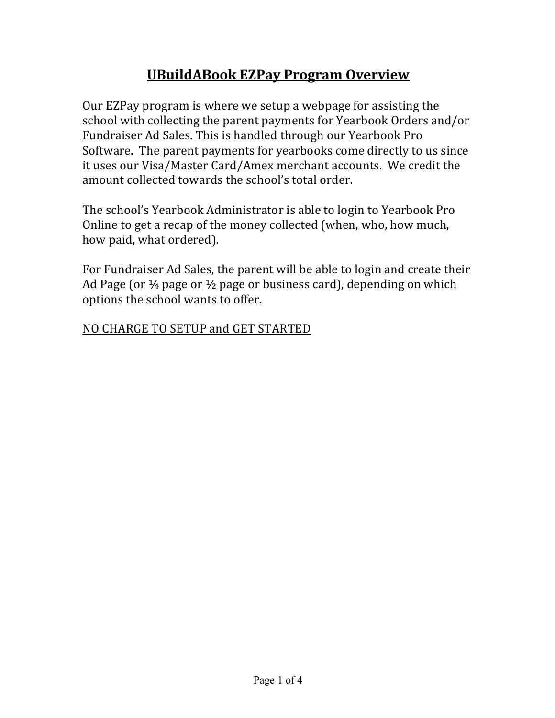# **UBuildABook EZPay Program Overview**

Our EZPay program is where we setup a webpage for assisting the school with collecting the parent payments for Yearbook Orders and/or Fundraiser Ad Sales. This is handled through our Yearbook Pro Software. The parent payments for yearbooks come directly to us since it uses our Visa/Master Card/Amex merchant accounts. We credit the amount collected towards the school's total order.

The school's Yearbook Administrator is able to login to Yearbook Pro Online to get a recap of the money collected (when, who, how much, how paid, what ordered).

For Fundraiser Ad Sales, the parent will be able to login and create their Ad Page (or  $\frac{1}{4}$  page or  $\frac{1}{2}$  page or business card), depending on which options the school wants to offer.

NO CHARGE TO SETUP and GET STARTED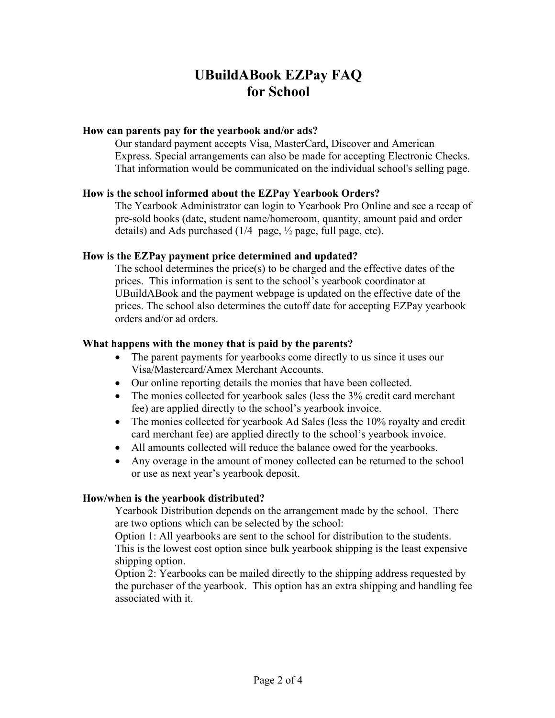# **UBuildABook EZPay FAQ for School**

## **How can parents pay for the yearbook and/or ads?**

Our standard payment accepts Visa, MasterCard, Discover and American Express. Special arrangements can also be made for accepting Electronic Checks. That information would be communicated on the individual school's selling page.

## **How is the school informed about the EZPay Yearbook Orders?**

The Yearbook Administrator can login to Yearbook Pro Online and see a recap of pre-sold books (date, student name/homeroom, quantity, amount paid and order details) and Ads purchased  $(1/4$  page,  $\frac{1}{2}$  page, full page, etc).

## **How is the EZPay payment price determined and updated?**

The school determines the price(s) to be charged and the effective dates of the prices. This information is sent to the school's yearbook coordinator at UBuildABook and the payment webpage is updated on the effective date of the prices. The school also determines the cutoff date for accepting EZPay yearbook orders and/or ad orders.

## **What happens with the money that is paid by the parents?**

- The parent payments for yearbooks come directly to us since it uses our Visa/Mastercard/Amex Merchant Accounts.
- Our online reporting details the monies that have been collected.
- The monies collected for yearbook sales (less the 3% credit card merchant fee) are applied directly to the school's yearbook invoice.
- The monies collected for yearbook Ad Sales (less the 10% royalty and credit card merchant fee) are applied directly to the school's yearbook invoice.
- All amounts collected will reduce the balance owed for the yearbooks.
- Any overage in the amount of money collected can be returned to the school or use as next year's yearbook deposit.

# **How/when is the yearbook distributed?**

Yearbook Distribution depends on the arrangement made by the school. There are two options which can be selected by the school:

Option 1: All yearbooks are sent to the school for distribution to the students. This is the lowest cost option since bulk yearbook shipping is the least expensive shipping option.

Option 2: Yearbooks can be mailed directly to the shipping address requested by the purchaser of the yearbook. This option has an extra shipping and handling fee associated with it.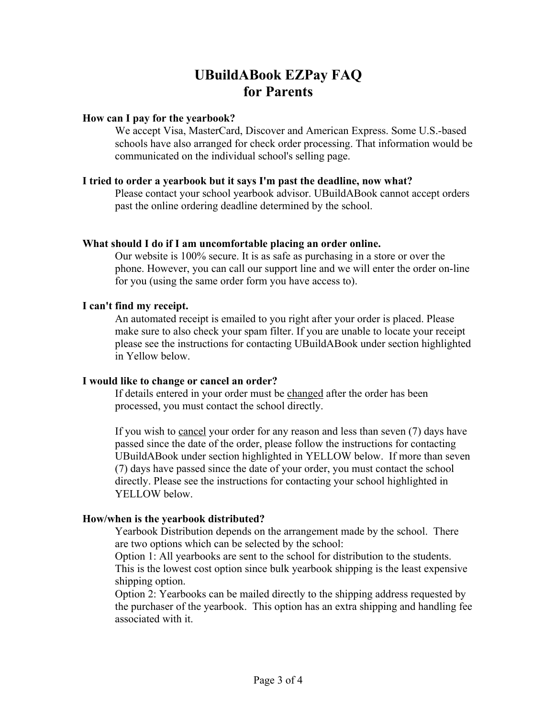# **UBuildABook EZPay FAQ for Parents**

## **How can I pay for the yearbook?**

We accept Visa, MasterCard, Discover and American Express. Some U.S.-based schools have also arranged for check order processing. That information would be communicated on the individual school's selling page.

#### **I tried to order a yearbook but it says I'm past the deadline, now what?**

Please contact your school yearbook advisor. UBuildABook cannot accept orders past the online ordering deadline determined by the school.

## **What should I do if I am uncomfortable placing an order online.**

Our website is 100% secure. It is as safe as purchasing in a store or over the phone. However, you can call our support line and we will enter the order on-line for you (using the same order form you have access to).

# **I can't find my receipt.**

An automated receipt is emailed to you right after your order is placed. Please make sure to also check your spam filter. If you are unable to locate your receipt please see the instructions for contacting UBuildABook under section highlighted in Yellow below.

# **I would like to change or cancel an order?**

If details entered in your order must be changed after the order has been processed, you must contact the school directly.

If you wish to cancel your order for any reason and less than seven (7) days have passed since the date of the order, please follow the instructions for contacting UBuildABook under section highlighted in YELLOW below. If more than seven (7) days have passed since the date of your order, you must contact the school directly. Please see the instructions for contacting your school highlighted in YELLOW below.

# **How/when is the yearbook distributed?**

Yearbook Distribution depends on the arrangement made by the school. There are two options which can be selected by the school:

Option 1: All yearbooks are sent to the school for distribution to the students. This is the lowest cost option since bulk yearbook shipping is the least expensive shipping option.

Option 2: Yearbooks can be mailed directly to the shipping address requested by the purchaser of the yearbook. This option has an extra shipping and handling fee associated with it.